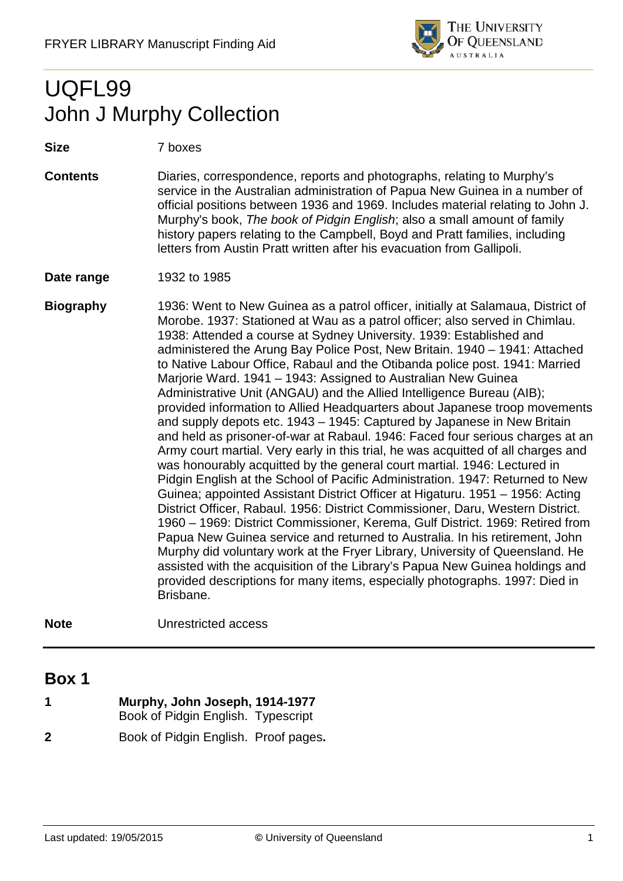

# UQFL99 John J Murphy Collection

**Size** 7 boxes

**Contents** Diaries, correspondence, reports and photographs, relating to Murphy's service in the Australian administration of Papua New Guinea in a number of official positions between 1936 and 1969. Includes material relating to John J. Murphy's book, *The book of Pidgin English*; also a small amount of family history papers relating to the Campbell, Boyd and Pratt families, including letters from Austin Pratt written after his evacuation from Gallipoli.

**Date range** 1932 to 1985

- **Biography** 1936: Went to New Guinea as a patrol officer, initially at Salamaua, District of Morobe. 1937: Stationed at Wau as a patrol officer; also served in Chimlau. 1938: Attended a course at Sydney University. 1939: Established and administered the Arung Bay Police Post, New Britain. 1940 – 1941: Attached to Native Labour Office, Rabaul and the Otibanda police post. 1941: Married Marjorie Ward. 1941 – 1943: Assigned to Australian New Guinea Administrative Unit (ANGAU) and the Allied Intelligence Bureau (AIB); provided information to Allied Headquarters about Japanese troop movements and supply depots etc. 1943 – 1945: Captured by Japanese in New Britain and held as prisoner-of-war at Rabaul. 1946: Faced four serious charges at an Army court martial. Very early in this trial, he was acquitted of all charges and was honourably acquitted by the general court martial. 1946: Lectured in Pidgin English at the School of Pacific Administration. 1947: Returned to New Guinea; appointed Assistant District Officer at Higaturu. 1951 – 1956: Acting District Officer, Rabaul. 1956: District Commissioner, Daru, Western District. 1960 – 1969: District Commissioner, Kerema, Gulf District. 1969: Retired from Papua New Guinea service and returned to Australia. In his retirement, John Murphy did voluntary work at the Fryer Library, University of Queensland. He assisted with the acquisition of the Library's Papua New Guinea holdings and provided descriptions for many items, especially photographs. 1997: Died in Brisbane.
- **Note** Unrestricted access

## **Box 1**

| 1 | Murphy, John Joseph, 1914-1977       |
|---|--------------------------------------|
|   | Book of Pidgin English. Typescript   |
| 2 | Book of Pidgin English. Proof pages. |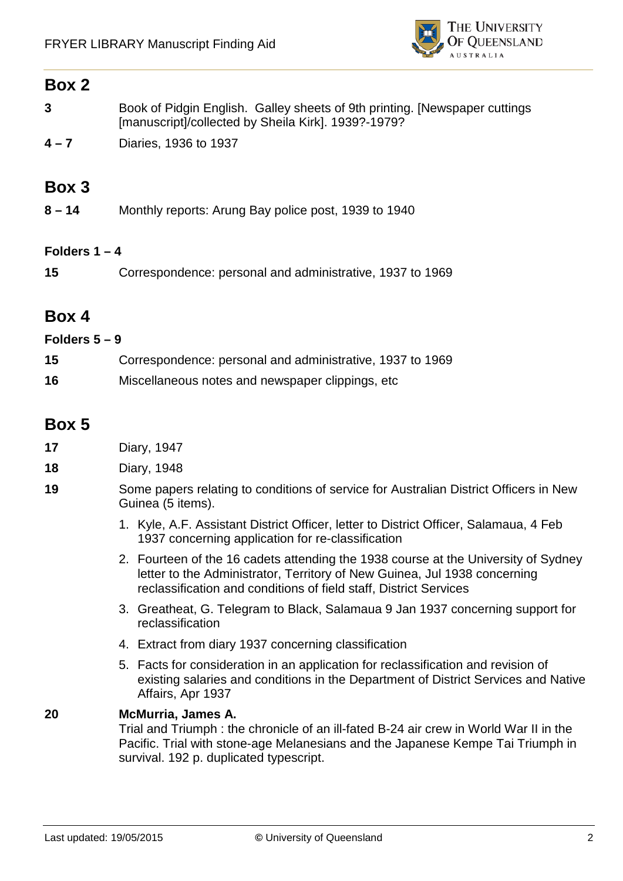

#### **Box 2**

|         | Book of Pidgin English. Galley sheets of 9th printing. [Newspaper cuttings<br>[manuscript]/collected by Sheila Kirk]. 1939?-1979? |
|---------|-----------------------------------------------------------------------------------------------------------------------------------|
| $4 - 7$ | Diaries, 1936 to 1937                                                                                                             |

# **Box 3**

**8 – 14** Monthly reports: Arung Bay police post, 1939 to 1940

#### **Folders 1 – 4**

**15** Correspondence: personal and administrative, 1937 to 1969

## **Box 4**

#### **Folders 5 – 9**

| 15 | Correspondence: personal and administrative, 1937 to 1969 |
|----|-----------------------------------------------------------|
| 16 | Miscellaneous notes and newspaper clippings, etc.         |

## **Box 5**

- **17** Diary, 1947
- **18** Diary, 1948
- **19** Some papers relating to conditions of service for Australian District Officers in New Guinea (5 items).
	- 1. Kyle, A.F. Assistant District Officer, letter to District Officer, Salamaua, 4 Feb 1937 concerning application for re-classification
	- 2. Fourteen of the 16 cadets attending the 1938 course at the University of Sydney letter to the Administrator, Territory of New Guinea, Jul 1938 concerning reclassification and conditions of field staff, District Services
	- 3. Greatheat, G. Telegram to Black, Salamaua 9 Jan 1937 concerning support for reclassification
	- 4. Extract from diary 1937 concerning classification
	- 5. Facts for consideration in an application for reclassification and revision of existing salaries and conditions in the Department of District Services and Native Affairs, Apr 1937

#### **20 McMurria, James A.**

Trial and Triumph : the chronicle of an ill-fated B-24 air crew in World War II in the Pacific. Trial with stone-age Melanesians and the Japanese Kempe Tai Triumph in survival. 192 p. duplicated typescript.